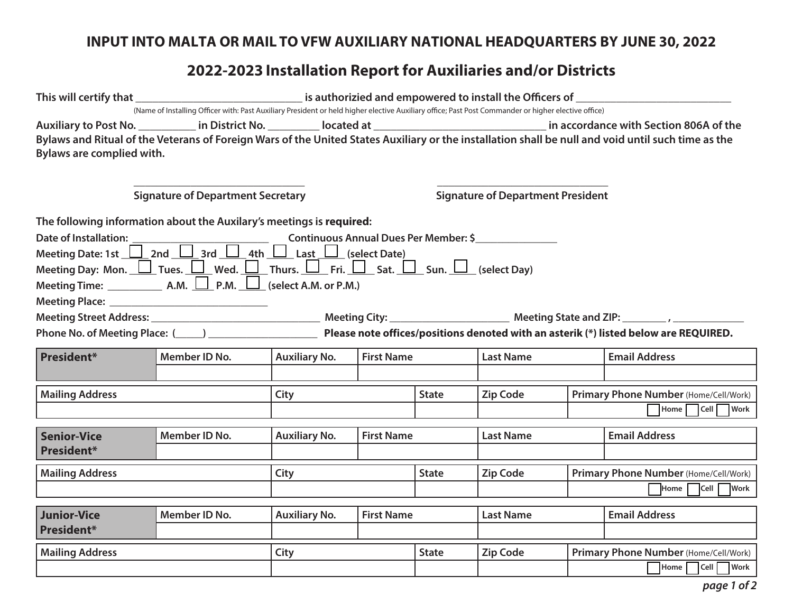## **INPUT INTO MALTA OR MAIL TO VFW AUXILIARY NATIONAL HEADQUARTERS BY JUNE 30, 2022**

## **2022-2023 Installation Report for Auxiliaries and/or Districts**

| Bylaws are complied with.                                                                                                                                                                | (Name of Installing Officer with: Past Auxiliary President or held higher elective Auxiliary office; Past Post Commander or higher elective office)<br>Auxiliary to Post No. ___________ in District No. __________ located at __________________________________ in accordance with Section 806A of the<br>Bylaws and Ritual of the Veterans of Foreign Wars of the United States Auxiliary or the installation shall be null and void until such time as the |                      |                   |                                          |                  |  |                                                                                                                         |  |  |  |
|------------------------------------------------------------------------------------------------------------------------------------------------------------------------------------------|----------------------------------------------------------------------------------------------------------------------------------------------------------------------------------------------------------------------------------------------------------------------------------------------------------------------------------------------------------------------------------------------------------------------------------------------------------------|----------------------|-------------------|------------------------------------------|------------------|--|-------------------------------------------------------------------------------------------------------------------------|--|--|--|
| <b>Signature of Department Secretary</b>                                                                                                                                                 |                                                                                                                                                                                                                                                                                                                                                                                                                                                                |                      |                   | <b>Signature of Department President</b> |                  |  |                                                                                                                         |  |  |  |
| The following information about the Auxilary's meetings is required:<br>Meeting Day: Mon. $\Box$ Tues. $\Box$ Wed. $\Box$ Thurs. $\Box$ Fri. $\Box$ Sat. $\Box$ Sun. $\Box$ (select Day) |                                                                                                                                                                                                                                                                                                                                                                                                                                                                |                      |                   |                                          |                  |  |                                                                                                                         |  |  |  |
| Meeting Time: $\_\_\_\_\_$ A.M. $\_\_\_\$ P.M. $\_\_\_\$ (select A.M. or P.M.)                                                                                                           |                                                                                                                                                                                                                                                                                                                                                                                                                                                                |                      |                   |                                          |                  |  | Phone No. of Meeting Place: (2008) Please note offices/positions denoted with an asterik (*) listed below are REQUIRED. |  |  |  |
| <b>President*</b>                                                                                                                                                                        | Member ID No.                                                                                                                                                                                                                                                                                                                                                                                                                                                  | <b>Auxiliary No.</b> | <b>First Name</b> |                                          | <b>Last Name</b> |  | <b>Email Address</b>                                                                                                    |  |  |  |
| <b>Mailing Address</b>                                                                                                                                                                   |                                                                                                                                                                                                                                                                                                                                                                                                                                                                | City                 |                   |                                          | <b>Zip Code</b>  |  | Primary Phone Number (Home/Cell/Work)<br>Home Cell Work                                                                 |  |  |  |
| <b>Senior-Vice</b><br><b>President*</b>                                                                                                                                                  | Member ID No.                                                                                                                                                                                                                                                                                                                                                                                                                                                  | <b>Auxiliary No.</b> | <b>First Name</b> |                                          | <b>Last Name</b> |  | <b>Email Address</b>                                                                                                    |  |  |  |
| <b>Mailing Address</b>                                                                                                                                                                   |                                                                                                                                                                                                                                                                                                                                                                                                                                                                | City                 |                   |                                          | <b>Zip Code</b>  |  | Primary Phone Number (Home/Cell/Work)<br>Home Cell Work                                                                 |  |  |  |
| Junior-Vice<br><b>President*</b>                                                                                                                                                         | Member ID No.                                                                                                                                                                                                                                                                                                                                                                                                                                                  | <b>Auxiliary No.</b> | <b>First Name</b> |                                          | <b>Last Name</b> |  | <b>Email Address</b>                                                                                                    |  |  |  |
| <b>Mailing Address</b>                                                                                                                                                                   |                                                                                                                                                                                                                                                                                                                                                                                                                                                                | City                 |                   | <b>State</b>                             | <b>Zip Code</b>  |  | Primary Phone Number (Home/Cell/Work)<br>Home Cell Work                                                                 |  |  |  |